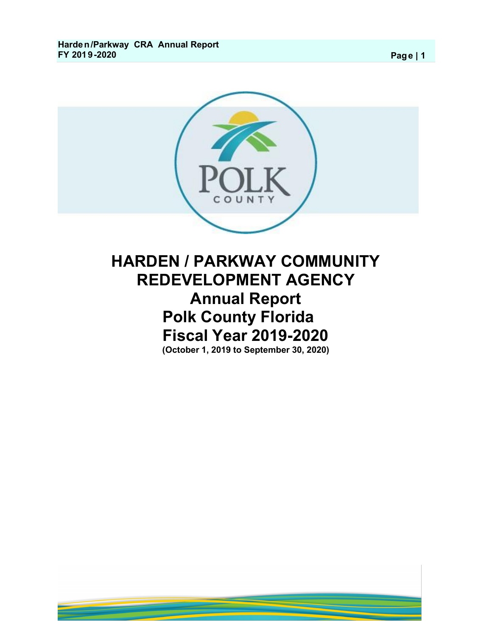

# **HARDEN / PARKWAY COMMUNITY REDEVELOPMENT AGENCY Annual Report Polk County Florida Fiscal Year 2019-2020 (October 1, 2019 to September 30, 2020)**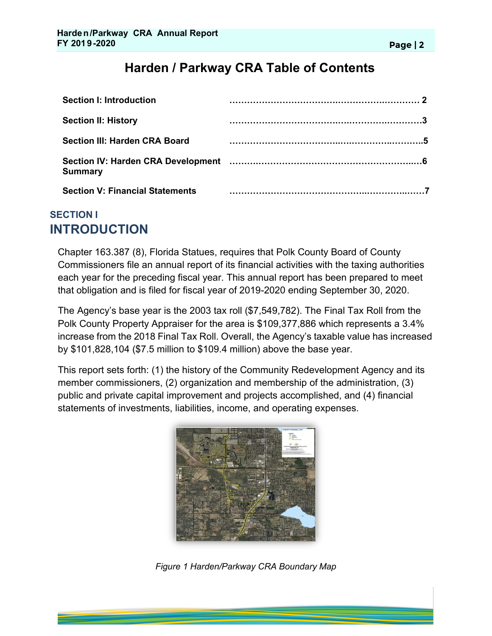| <b>Section I: Introduction</b>         |  |
|----------------------------------------|--|
| <b>Section II: History</b>             |  |
| Section III: Harden CRA Board          |  |
| <b>Summary</b>                         |  |
| <b>Section V: Financial Statements</b> |  |

## **SECTION I INTRODUCTION**

Chapter 163.387 (8), Florida Statues, requires that Polk County Board of County Commissioners file an annual report of its financial activities with the taxing authorities each year for the preceding fiscal year. This annual report has been prepared to meet that obligation and is filed for fiscal year of 2019-2020 ending September 30, 2020.

The Agency's base year is the 2003 tax roll (\$7,549,782). The Final Tax Roll from the Polk County Property Appraiser for the area is \$109,377,886 which represents a 3.4% increase from the 2018 Final Tax Roll. Overall, the Agency's taxable value has increased by \$101,828,104 (\$7.5 million to \$109.4 million) above the base year.

This report sets forth: (1) the history of the Community Redevelopment Agency and its member commissioners, (2) organization and membership of the administration, (3) public and private capital improvement and projects accomplished, and (4) financial statements of investments, liabilities, income, and operating expenses.



*Figure 1 Harden/Parkway CRA Boundary Map*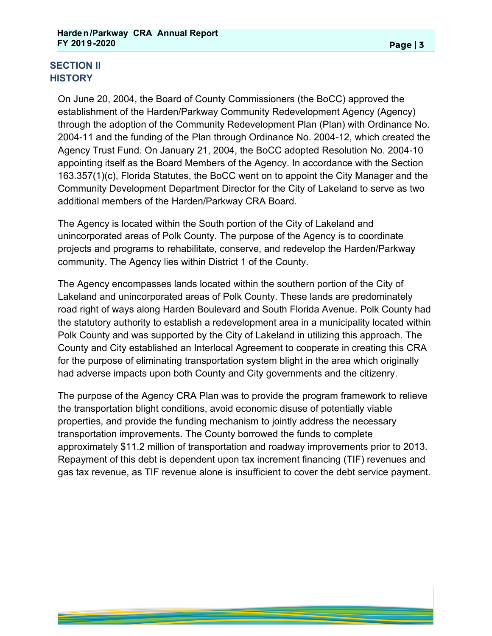## **SECTION II HISTORY**

On June 20, 2004, the Board of County Commissioners (the BoCC) approved the establishment of the Harden/Parkway Community Redevelopment Agency (Agency) through the adoption of the Community Redevelopment Plan (Plan) with Ordinance No. 2004-11 and the funding of the Plan through Ordinance No. 2004-12, which created the Agency Trust Fund. On January 21, 2004, the BoCC adopted Resolution No. 2004-10 appointing itself as the Board Members of the Agency. In accordance with the Section 163.357(1)(c), Florida Statutes, the BoCC went on to appoint the City Manager and the Community Development Department Director for the City of Lakeland to serve as two additional members of the Harden/Parkway CRA Board.

The Agency is located within the South portion of the City of Lakeland and unincorporated areas of Polk County. The purpose of the Agency is to coordinate projects and programs to rehabilitate, conserve, and redevelop the Harden/Parkway community. The Agency lies within District 1 of the County.

The Agency encompasses lands located within the southern portion of the City of Lakeland and unincorporated areas of Polk County. These lands are predominately road right of ways along Harden Boulevard and South Florida Avenue. Polk County had the statutory authority to establish a redevelopment area in a municipality located within Polk County and was supported by the City of Lakeland in utilizing this approach. The County and City established an Interlocal Agreement to cooperate in creating this CRA for the purpose of eliminating transportation system blight in the area which originally had adverse impacts upon both County and City governments and the citizenry.

The purpose of the Agency CRA Plan was to provide the program framework to relieve the transportation blight conditions, avoid economic disuse of potentially viable properties, and provide the funding mechanism to jointly address the necessary transportation improvements. The County borrowed the funds to complete approximately \$11.2 million of transportation and roadway improvements prior to 2013. Repayment of this debt is dependent upon tax increment financing (TIF) revenues and gas tax revenue, as TIF revenue alone is insufficient to cover the debt service payment.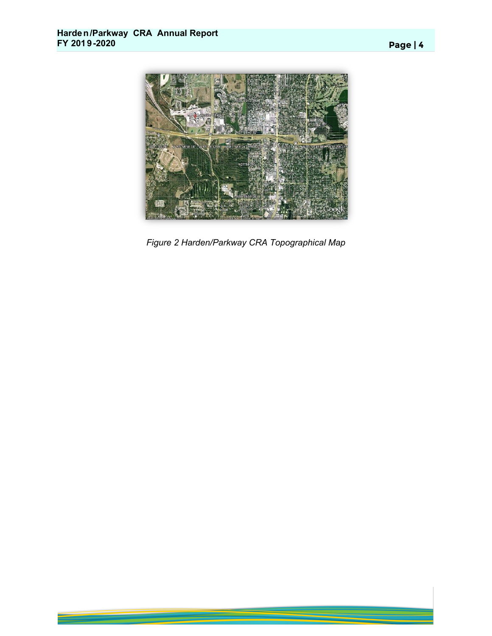

*Figure 2 Harden/Parkway CRA Topographical Map*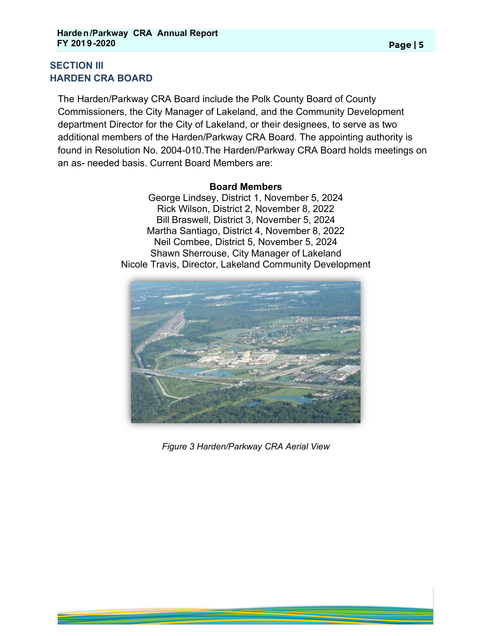## **SECTION III HARDEN CRA BOARD**

The Harden/Parkway CRA Board include the Polk County Board of County Commissioners, the City Manager of Lakeland, and the Community Development department Director for the City of Lakeland, or their designees, to serve as two additional members of the Harden/Parkway CRA Board. The appointing authority is found in Resolution No. 2004-010.The Harden/Parkway CRA Board holds meetings on an as- needed basis. Current Board Members are:

#### **Board Members**

George Lindsey, District 1, November 5, 2024 Rick Wilson, District 2, November 8, 2022 Bill Braswell, District 3, November 5, 2024 Martha Santiago, District 4, November 8, 2022 Neil Combee, District 5, November 5, 2024 Shawn Sherrouse, City Manager of Lakeland Nicole Travis, Director, Lakeland Community Development



*Figure 3 Harden/Parkway CRA Aerial View*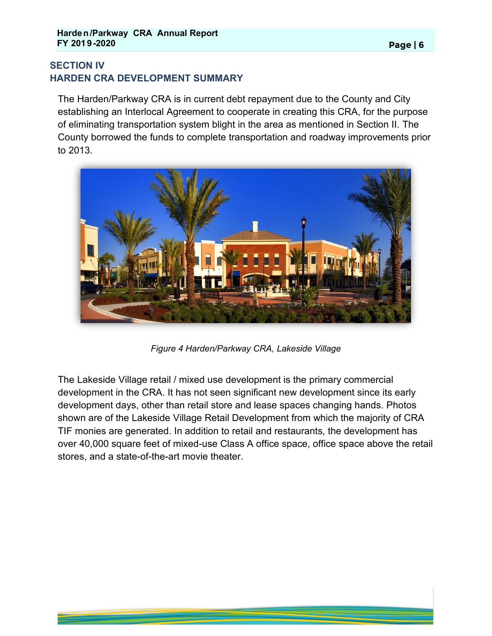## **SECTION IV HARDEN CRA DEVELOPMENT SUMMARY**

The Harden/Parkway CRA is in current debt repayment due to the County and City establishing an Interlocal Agreement to cooperate in creating this CRA, for the purpose of eliminating transportation system blight in the area as mentioned in Section II. The County borrowed the funds to complete transportation and roadway improvements prior to 2013.



*Figure 4 Harden/Parkway CRA, Lakeside Village*

The Lakeside Village retail / mixed use development is the primary commercial development in the CRA. It has not seen significant new development since its early development days, other than retail store and lease spaces changing hands. Photos shown are of the Lakeside Village Retail Development from which the majority of CRA TIF monies are generated. In addition to retail and restaurants, the development has over 40,000 square feet of mixed-use Class A office space, office space above the retail stores, and a state-of-the-art movie theater.